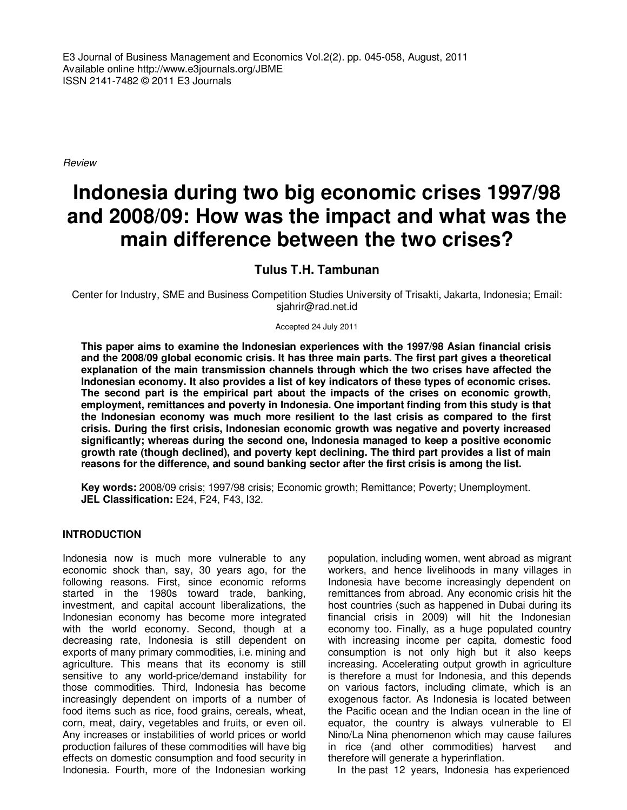E3 Journal of Business Management and Economics Vol.2(2). pp. 045-058, August, 2011 Available online http://www.e3journals.org/JBME ISSN 2141-7482 © 2011 E3 Journals

Review

# **Indonesia during two big economic crises 1997/98 and 2008/09: How was the impact and what was the main difference between the two crises?**

**Tulus T.H. Tambunan** 

Center for Industry, SME and Business Competition Studies University of Trisakti, Jakarta, Indonesia; Email: sjahrir@rad.net.id

Accepted 24 July 2011

**This paper aims to examine the Indonesian experiences with the 1997/98 Asian financial crisis and the 2008/09 global economic crisis. It has three main parts. The first part gives a theoretical explanation of the main transmission channels through which the two crises have affected the Indonesian economy. It also provides a list of key indicators of these types of economic crises. The second part is the empirical part about the impacts of the crises on economic growth, employment, remittances and poverty in Indonesia. One important finding from this study is that the Indonesian economy was much more resilient to the last crisis as compared to the first crisis. During the first crisis, Indonesian economic growth was negative and poverty increased significantly; whereas during the second one, Indonesia managed to keep a positive economic growth rate (though declined), and poverty kept declining. The third part provides a list of main reasons for the difference, and sound banking sector after the first crisis is among the list.** 

**Key words:** 2008/09 crisis; 1997/98 crisis; Economic growth; Remittance; Poverty; Unemployment. **JEL Classification:** E24, F24, F43, I32.

## **INTRODUCTION**

Indonesia now is much more vulnerable to any economic shock than, say, 30 years ago, for the following reasons. First, since economic reforms started in the 1980s toward trade, banking, investment, and capital account liberalizations, the Indonesian economy has become more integrated with the world economy. Second, though at a decreasing rate, Indonesia is still dependent on exports of many primary commodities, i.e. mining and agriculture. This means that its economy is still sensitive to any world-price/demand instability for those commodities. Third, Indonesia has become increasingly dependent on imports of a number of food items such as rice, food grains, cereals, wheat, corn, meat, dairy, vegetables and fruits, or even oil. Any increases or instabilities of world prices or world production failures of these commodities will have big effects on domestic consumption and food security in Indonesia. Fourth, more of the Indonesian working

population, including women, went abroad as migrant workers, and hence livelihoods in many villages in Indonesia have become increasingly dependent on remittances from abroad. Any economic crisis hit the host countries (such as happened in Dubai during its financial crisis in 2009) will hit the Indonesian economy too. Finally, as a huge populated country with increasing income per capita, domestic food consumption is not only high but it also keeps increasing. Accelerating output growth in agriculture is therefore a must for Indonesia, and this depends on various factors, including climate, which is an exogenous factor. As Indonesia is located between the Pacific ocean and the Indian ocean in the line of equator, the country is always vulnerable to El Nino/La Nina phenomenon which may cause failures in rice (and other commodities) harvest and therefore will generate a hyperinflation.

In the past 12 years, Indonesia has experienced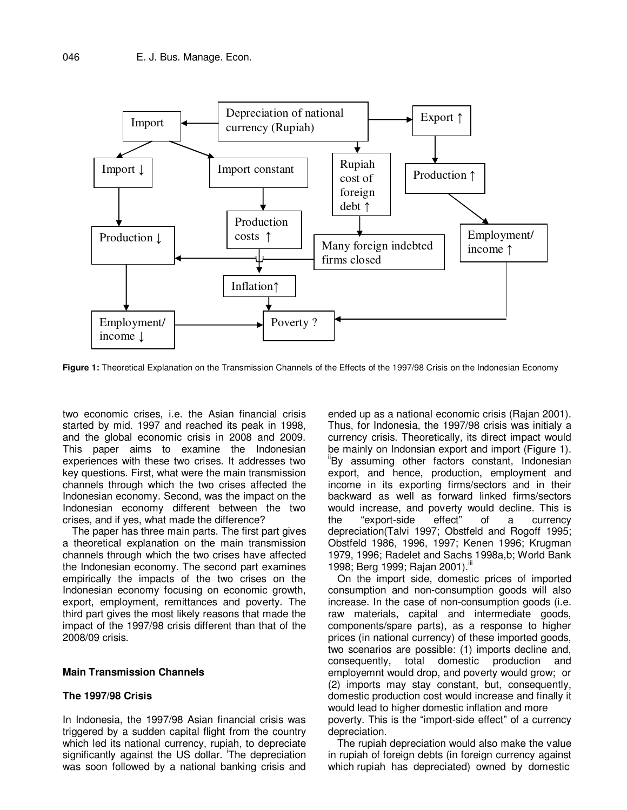

**Figure 1:** Theoretical Explanation on the Transmission Channels of the Effects of the 1997/98 Crisis on the Indonesian Economy

two economic crises, i.e. the Asian financial crisis started by mid. 1997 and reached its peak in 1998, and the global economic crisis in 2008 and 2009. This paper aims to examine the Indonesian experiences with these two crises. It addresses two key questions. First, what were the main transmission channels through which the two crises affected the Indonesian economy. Second, was the impact on the Indonesian economy different between the two crises, and if yes, what made the difference?

The paper has three main parts. The first part gives a theoretical explanation on the main transmission channels through which the two crises have affected the Indonesian economy. The second part examines empirically the impacts of the two crises on the Indonesian economy focusing on economic growth, export, employment, remittances and poverty. The third part gives the most likely reasons that made the impact of the 1997/98 crisis different than that of the 2008/09 crisis.

#### **Main Transmission Channels**

## **The 1997/98 Crisis**

In Indonesia, the 1997/98 Asian financial crisis was triggered by a sudden capital flight from the country which led its national currency, rupiah, to depreciate significantly against the US dollar. The depreciation was soon followed by a national banking crisis and

ended up as a national economic crisis (Rajan 2001). Thus, for Indonesia, the 1997/98 crisis was initialy a currency crisis. Theoretically, its direct impact would be mainly on Indonsian export and import (Figure 1). "By assuming other factors constant, Indonesian export, and hence, production, employment and income in its exporting firms/sectors and in their backward as well as forward linked firms/sectors would increase, and poverty would decline. This is the "export-side effect" of a currency depreciation(Talvi 1997; Obstfeld and Rogoff 1995; Obstfeld 1986, 1996, 1997; Kenen 1996; Krugman 1979, 1996; Radelet and Sachs 1998a,b; World Bank 1998; Berg 1999; Rajan 2001). iii

On the import side, domestic prices of imported consumption and non-consumption goods will also increase. In the case of non-consumption goods (i.e. raw materials, capital and intermediate goods, components/spare parts), as a response to higher prices (in national currency) of these imported goods, two scenarios are possible: (1) imports decline and, consequently, total domestic production and employemnt would drop, and poverty would grow; or (2) imports may stay constant, but, consequently, domestic production cost would increase and finally it would lead to higher domestic inflation and more poverty. This is the "import-side effect" of a currency depreciation.

The rupiah depreciation would also make the value in rupiah of foreign debts (in foreign currency against which rupiah has depreciated) owned by domestic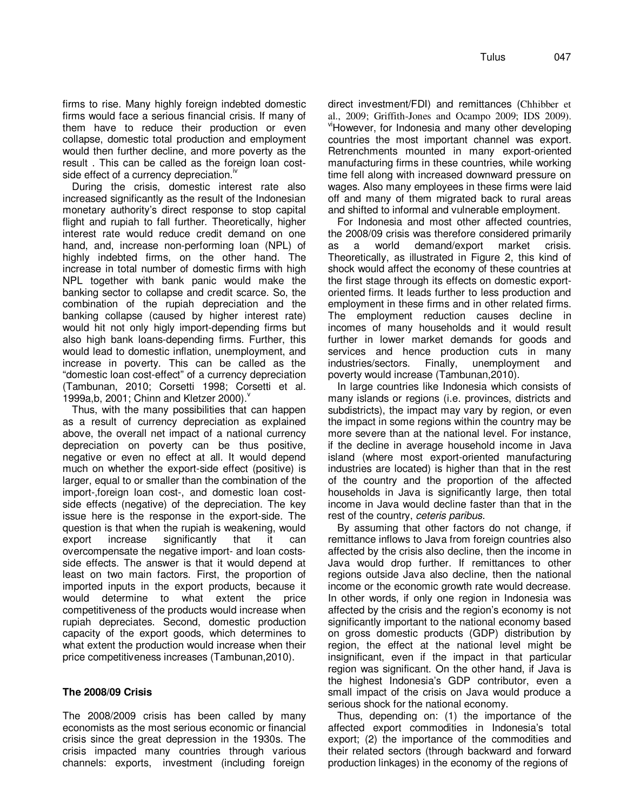firms to rise. Many highly foreign indebted domestic firms would face a serious financial crisis. If many of them have to reduce their production or even collapse, domestic total production and employment would then further decline, and more poverty as the result . This can be called as the foreign loan costside effect of a currency depreciation. $\mathbb{I}^{\mathbb{N}}$ 

During the crisis, domestic interest rate also increased significantly as the result of the Indonesian monetary authority's direct response to stop capital flight and rupiah to fall further. Theoretically, higher interest rate would reduce credit demand on one hand, and, increase non-performing loan (NPL) of highly indebted firms, on the other hand. The increase in total number of domestic firms with high NPL together with bank panic would make the banking sector to collapse and credit scarce. So, the combination of the rupiah depreciation and the banking collapse (caused by higher interest rate) would hit not only higly import-depending firms but also high bank loans-depending firms. Further, this would lead to domestic inflation, unemployment, and increase in poverty. This can be called as the "domestic loan cost-effect" of a currency depreciation (Tambunan, 2010; Corsetti 1998; Corsetti et al. 1999a, b, 2001; Chinn and Kletzer 2000).

Thus, with the many possibilities that can happen as a result of currency depreciation as explained above, the overall net impact of a national currency depreciation on poverty can be thus positive, negative or even no effect at all. It would depend much on whether the export-side effect (positive) is larger, equal to or smaller than the combination of the import-,foreign loan cost-, and domestic loan costside effects (negative) of the depreciation. The key issue here is the response in the export-side. The question is that when the rupiah is weakening, would export increase significantly that it can overcompensate the negative import- and loan costsside effects. The answer is that it would depend at least on two main factors. First, the proportion of imported inputs in the export products, because it would determine to what extent the price competitiveness of the products would increase when rupiah depreciates. Second, domestic production capacity of the export goods, which determines to what extent the production would increase when their price competitiveness increases (Tambunan,2010).

# **The 2008/09 Crisis**

The 2008/2009 crisis has been called by many economists as the most serious economic or financial crisis since the great depression in the 1930s. The crisis impacted many countries through various channels: exports, investment (including foreign

direct investment/FDI) and remittances (Chhibber et al., 2009; Griffith-Jones and Ocampo 2009; IDS 2009). viHowever, for Indonesia and many other developing countries the most important channel was export. Retrenchments mounted in many export-oriented manufacturing firms in these countries, while working time fell along with increased downward pressure on wages. Also many employees in these firms were laid off and many of them migrated back to rural areas and shifted to informal and vulnerable employment.

For Indonesia and most other affected countries, the 2008/09 crisis was therefore considered primarily as a world demand/export market crisis. Theoretically, as illustrated in Figure 2, this kind of shock would affect the economy of these countries at the first stage through its effects on domestic exportoriented firms. It leads further to less production and employment in these firms and in other related firms. The employment reduction causes decline in incomes of many households and it would result further in lower market demands for goods and services and hence production cuts in many industries/sectors. Finally, unemployment and poverty would increase (Tambunan,2010).

In large countries like Indonesia which consists of many islands or regions (i.e. provinces, districts and subdistricts), the impact may vary by region, or even the impact in some regions within the country may be more severe than at the national level. For instance, if the decline in average household income in Java island (where most export-oriented manufacturing industries are located) is higher than that in the rest of the country and the proportion of the affected households in Java is significantly large, then total income in Java would decline faster than that in the rest of the country, ceteris paribus.

By assuming that other factors do not change, if remittance inflows to Java from foreign countries also affected by the crisis also decline, then the income in Java would drop further. If remittances to other regions outside Java also decline, then the national income or the economic growth rate would decrease. In other words, if only one region in Indonesia was affected by the crisis and the region's economy is not significantly important to the national economy based on gross domestic products (GDP) distribution by region, the effect at the national level might be insignificant, even if the impact in that particular region was significant. On the other hand, if Java is the highest Indonesia's GDP contributor, even a small impact of the crisis on Java would produce a serious shock for the national economy.

Thus, depending on: (1) the importance of the affected export commodities in Indonesia's total export; (2) the importance of the commodities and their related sectors (through backward and forward production linkages) in the economy of the regions of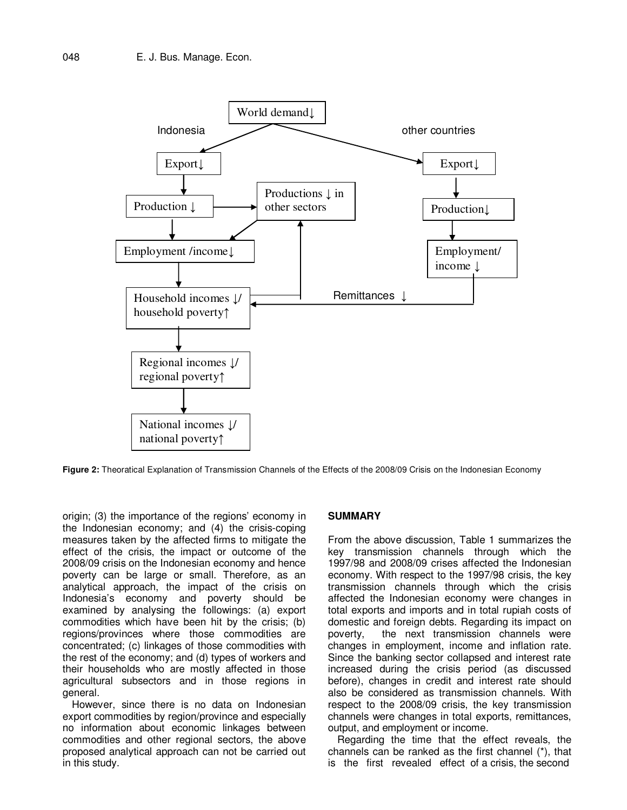

**Figure 2:** Theoratical Explanation of Transmission Channels of the Effects of the 2008/09 Crisis on the Indonesian Economy

origin; (3) the importance of the regions' economy in the Indonesian economy; and (4) the crisis-coping measures taken by the affected firms to mitigate the effect of the crisis, the impact or outcome of the 2008/09 crisis on the Indonesian economy and hence poverty can be large or small. Therefore, as an analytical approach, the impact of the crisis on Indonesia's economy and poverty should be examined by analysing the followings: (a) export commodities which have been hit by the crisis; (b) regions/provinces where those commodities are concentrated; (c) linkages of those commodities with the rest of the economy; and (d) types of workers and their households who are mostly affected in those agricultural subsectors and in those regions in general.

However, since there is no data on Indonesian export commodities by region/province and especially no information about economic linkages between commodities and other regional sectors, the above proposed analytical approach can not be carried out in this study.

## **SUMMARY**

From the above discussion, Table 1 summarizes the key transmission channels through which the 1997/98 and 2008/09 crises affected the Indonesian economy. With respect to the 1997/98 crisis, the key transmission channels through which the crisis affected the Indonesian economy were changes in total exports and imports and in total rupiah costs of domestic and foreign debts. Regarding its impact on poverty, the next transmission channels were changes in employment, income and inflation rate. Since the banking sector collapsed and interest rate increased during the crisis period (as discussed before), changes in credit and interest rate should also be considered as transmission channels. With respect to the 2008/09 crisis, the key transmission channels were changes in total exports, remittances, output, and employment or income.

Regarding the time that the effect reveals, the channels can be ranked as the first channel (\*), that is the first revealed effect of a crisis, the second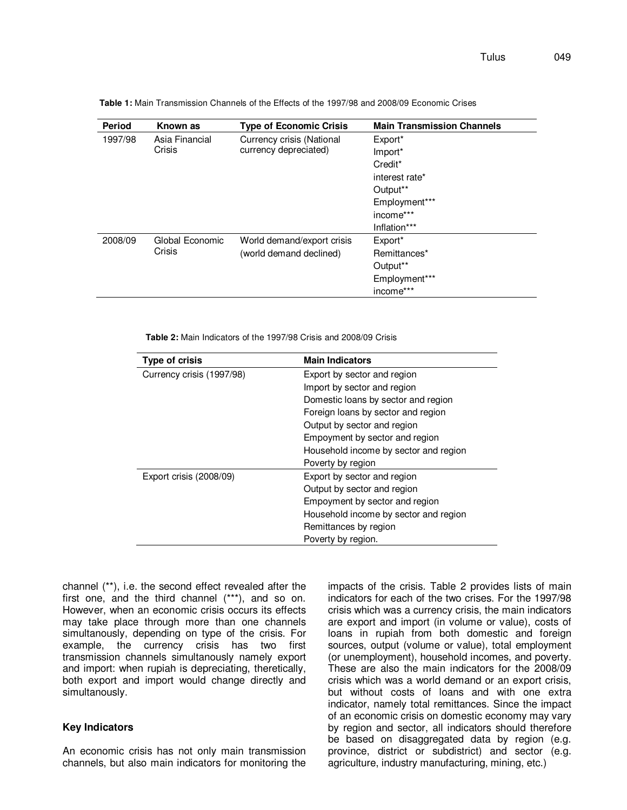| Period  | Known as                  | <b>Type of Economic Crisis</b>                     | <b>Main Transmission Channels</b> |  |  |
|---------|---------------------------|----------------------------------------------------|-----------------------------------|--|--|
| 1997/98 | Asia Financial<br>Crisis  | Currency crisis (National<br>currency depreciated) | Export*                           |  |  |
|         |                           |                                                    | Import*                           |  |  |
|         |                           |                                                    | Credit*                           |  |  |
|         |                           |                                                    | interest rate*                    |  |  |
|         |                           |                                                    | Output**                          |  |  |
|         |                           |                                                    | Employment***                     |  |  |
|         |                           |                                                    | income***                         |  |  |
|         |                           |                                                    | Inflation***                      |  |  |
| 2008/09 | Global Economic<br>Crisis | World demand/export crisis                         | Export*                           |  |  |
|         |                           | (world demand declined)                            | Remittances*                      |  |  |
|         |                           |                                                    | Output**                          |  |  |
|         |                           |                                                    | Employment***                     |  |  |
|         |                           |                                                    | income***                         |  |  |

**Table 1:** Main Transmission Channels of the Effects of the 1997/98 and 2008/09 Economic Crises

**Table 2:** Main Indicators of the 1997/98 Crisis and 2008/09 Crisis

| <b>Type of crisis</b>     | <b>Main Indicators</b>                |  |  |
|---------------------------|---------------------------------------|--|--|
| Currency crisis (1997/98) | Export by sector and region           |  |  |
|                           | Import by sector and region           |  |  |
|                           | Domestic loans by sector and region   |  |  |
|                           | Foreign loans by sector and region    |  |  |
|                           | Output by sector and region           |  |  |
|                           | Empoyment by sector and region        |  |  |
|                           | Household income by sector and region |  |  |
|                           | Poverty by region                     |  |  |
| Export crisis (2008/09)   | Export by sector and region           |  |  |
|                           | Output by sector and region           |  |  |
|                           | Empoyment by sector and region        |  |  |
|                           | Household income by sector and region |  |  |
|                           | Remittances by region                 |  |  |
|                           | Poverty by region.                    |  |  |

channel (\*\*), i.e. the second effect revealed after the first one, and the third channel (\*\*\*), and so on. However, when an economic crisis occurs its effects may take place through more than one channels simultanously, depending on type of the crisis. For example, the currency crisis has two first transmission channels simultanously namely export and import: when rupiah is depreciating, theretically, both export and import would change directly and simultanously.

# **Key Indicators**

An economic crisis has not only main transmission channels, but also main indicators for monitoring the

impacts of the crisis. Table 2 provides lists of main indicators for each of the two crises. For the 1997/98 crisis which was a currency crisis, the main indicators are export and import (in volume or value), costs of loans in rupiah from both domestic and foreign sources, output (volume or value), total employment (or unemployment), household incomes, and poverty. These are also the main indicators for the 2008/09 crisis which was a world demand or an export crisis, but without costs of loans and with one extra indicator, namely total remittances. Since the impact of an economic crisis on domestic economy may vary by region and sector, all indicators should therefore be based on disaggregated data by region (e.g. province, district or subdistrict) and sector (e.g. agriculture, industry manufacturing, mining, etc.)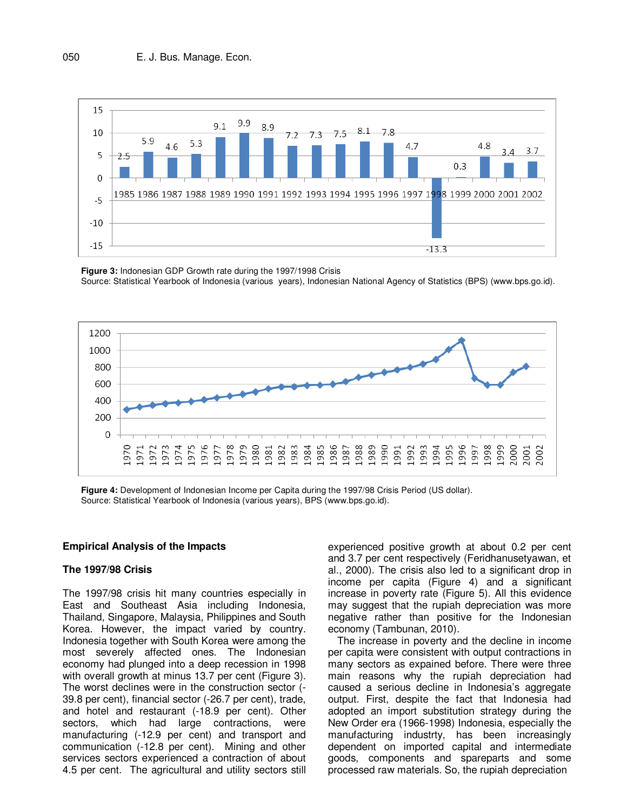

**Figure 3:** Indonesian GDP Growth rate during the 1997/1998 Crisis Source: Statistical Yearbook of Indonesia (various years), Indonesian National Agency of Statistics (BPS) (www.bps.go.id).



**Figure 4:** Development of Indonesian Income per Capita during the 1997/98 Crisis Period (US dollar). Source: Statistical Yearbook of Indonesia (various years), BPS (www.bps.go.id).

# **Empirical Analysis of the Impacts**

#### **The 1997/98 Crisis**

The 1997/98 crisis hit many countries especially in East and Southeast Asia including Indonesia, Thailand, Singapore, Malaysia, Philippines and South Korea. However, the impact varied by country. Indonesia together with South Korea were among the most severely affected ones. The Indonesian economy had plunged into a deep recession in 1998 with overall growth at minus 13.7 per cent (Figure 3). The worst declines were in the construction sector (- 39.8 per cent), financial sector (-26.7 per cent), trade, and hotel and restaurant (-18.9 per cent). Other sectors, which had large contractions, were manufacturing (-12.9 per cent) and transport and communication (-12.8 per cent). Mining and other services sectors experienced a contraction of about 4.5 per cent. The agricultural and utility sectors still experienced positive growth at about 0.2 per cent and 3.7 per cent respectively (Feridhanusetyawan, et al., 2000). The crisis also led to a significant drop in income per capita (Figure 4) and a significant increase in poverty rate (Figure 5). All this evidence may suggest that the rupiah depreciation was more negative rather than positive for the Indonesian economy (Tambunan, 2010).

The increase in poverty and the decline in income per capita were consistent with output contractions in many sectors as expained before. There were three main reasons why the rupiah depreciation had caused a serious decline in Indonesia's aggregate output. First, despite the fact that Indonesia had adopted an import substitution strategy during the New Order era (1966-1998) Indonesia, especially the manufacturing industrty, has been increasingly dependent on imported capital and intermediate goods, components and spareparts and some processed raw materials. So, the rupiah depreciation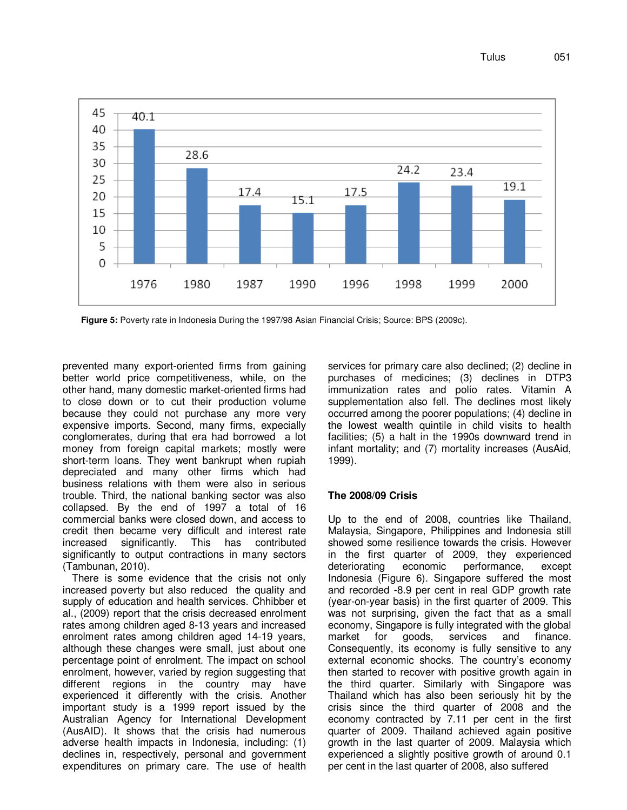Tulus 051



**Figure 5:** Poverty rate in Indonesia During the 1997/98 Asian Financial Crisis; Source: BPS (2009c).

prevented many export-oriented firms from gaining better world price competitiveness, while, on the other hand, many domestic market-oriented firms had to close down or to cut their production volume because they could not purchase any more very expensive imports. Second, many firms, expecially conglomerates, during that era had borrowed a lot money from foreign capital markets; mostly were short-term loans. They went bankrupt when rupiah depreciated and many other firms which had business relations with them were also in serious trouble. Third, the national banking sector was also collapsed. By the end of 1997 a total of 16 commercial banks were closed down, and access to credit then became very difficult and interest rate increased significantly. This has contributed significantly to output contractions in many sectors (Tambunan, 2010).

There is some evidence that the crisis not only increased poverty but also reduced the quality and supply of education and health services. Chhibber et al., (2009) report that the crisis decreased enrolment rates among children aged 8-13 years and increased enrolment rates among children aged 14-19 years, although these changes were small, just about one percentage point of enrolment. The impact on school enrolment, however, varied by region suggesting that different regions in the country may have experienced it differently with the crisis. Another important study is a 1999 report issued by the Australian Agency for International Development (AusAID). It shows that the crisis had numerous adverse health impacts in Indonesia, including: (1) declines in, respectively, personal and government expenditures on primary care. The use of health

services for primary care also declined; (2) decline in purchases of medicines; (3) declines in DTP3 immunization rates and polio rates. Vitamin A supplementation also fell. The declines most likely occurred among the poorer populations; (4) decline in the lowest wealth quintile in child visits to health facilities; (5) a halt in the 1990s downward trend in infant mortality; and (7) mortality increases (AusAid, 1999).

# **The 2008/09 Crisis**

Up to the end of 2008, countries like Thailand, Malaysia, Singapore, Philippines and Indonesia still showed some resilience towards the crisis. However in the first quarter of 2009, they experienced deteriorating economic performance, except Indonesia (Figure 6). Singapore suffered the most and recorded -8.9 per cent in real GDP growth rate (year-on-year basis) in the first quarter of 2009. This was not surprising, given the fact that as a small economy, Singapore is fully integrated with the global market for goods, services and finance. Consequently, its economy is fully sensitive to any external economic shocks. The country's economy then started to recover with positive growth again in the third quarter. Similarly with Singapore was Thailand which has also been seriously hit by the crisis since the third quarter of 2008 and the economy contracted by 7.11 per cent in the first quarter of 2009. Thailand achieved again positive growth in the last quarter of 2009. Malaysia which experienced a slightly positive growth of around 0.1 per cent in the last quarter of 2008, also suffered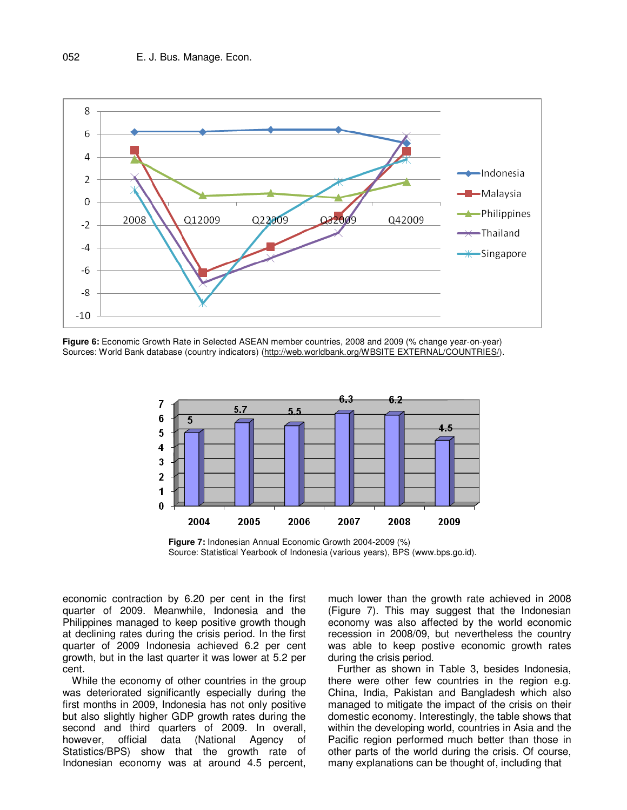

**Figure 6:** Economic Growth Rate in Selected ASEAN member countries, 2008 and 2009 (% change year-on-year) Sources: World Bank database (country indicators) (http://web.worldbank.org/WBSITE EXTERNAL/COUNTRIES/).



**Figure 7:** Indonesian Annual Economic Growth 2004-2009 (%) Source: Statistical Yearbook of Indonesia (various years), BPS (www.bps.go.id).

economic contraction by 6.20 per cent in the first quarter of 2009. Meanwhile, Indonesia and the Philippines managed to keep positive growth though at declining rates during the crisis period. In the first quarter of 2009 Indonesia achieved 6.2 per cent growth, but in the last quarter it was lower at 5.2 per cent.

While the economy of other countries in the group was deteriorated significantly especially during the first months in 2009, Indonesia has not only positive but also slightly higher GDP growth rates during the second and third quarters of 2009. In overall, however, official data (National Agency of Statistics/BPS) show that the growth rate of Indonesian economy was at around 4.5 percent,

much lower than the growth rate achieved in 2008 (Figure 7). This may suggest that the Indonesian economy was also affected by the world economic recession in 2008/09, but nevertheless the country was able to keep postive economic growth rates during the crisis period.

Further as shown in Table 3, besides Indonesia, there were other few countries in the region e.g. China, India, Pakistan and Bangladesh which also managed to mitigate the impact of the crisis on their domestic economy. Interestingly, the table shows that within the developing world, countries in Asia and the Pacific region performed much better than those in other parts of the world during the crisis. Of course, many explanations can be thought of, including that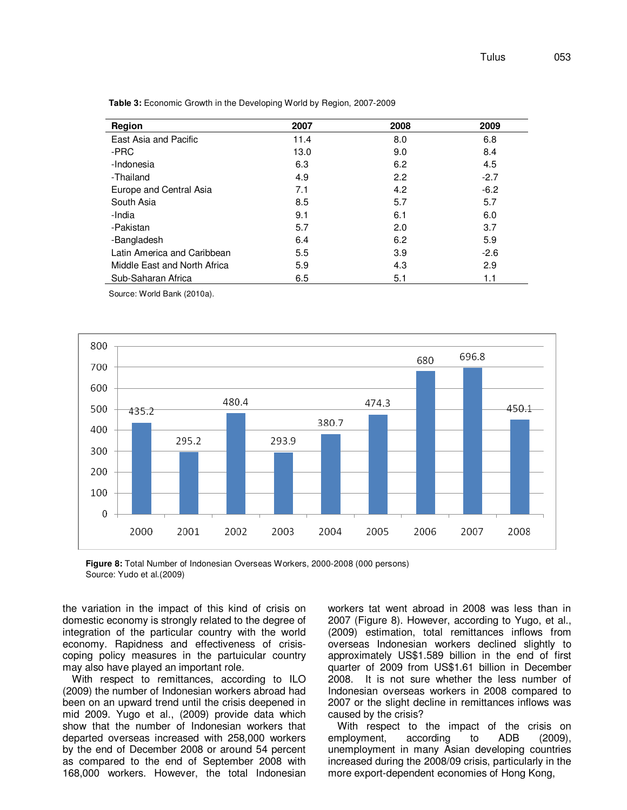| Region                       | 2007 | 2008 | 2009   |
|------------------------------|------|------|--------|
| East Asia and Pacific        | 11.4 | 8.0  | 6.8    |
| -PRC                         | 13.0 | 9.0  | 8.4    |
| -Indonesia                   | 6.3  | 6.2  | 4.5    |
| -Thailand                    | 4.9  | 2.2  | $-2.7$ |
| Europe and Central Asia      | 7.1  | 4.2  | $-6.2$ |
| South Asia                   | 8.5  | 5.7  | 5.7    |
| -India                       | 9.1  | 6.1  | 6.0    |
| -Pakistan                    | 5.7  | 2.0  | 3.7    |
| -Bangladesh                  | 6.4  | 6.2  | 5.9    |
| Latin America and Caribbean  | 5.5  | 3.9  | $-2.6$ |
| Middle East and North Africa | 5.9  | 4.3  | 2.9    |
| Sub-Saharan Africa           | 6.5  | 5.1  | 1.1    |

**Table 3:** Economic Growth in the Developing World by Region, 2007-2009

Source: World Bank (2010a).



**Figure 8:** Total Number of Indonesian Overseas Workers, 2000-2008 (000 persons) Source: Yudo et al.(2009)

the variation in the impact of this kind of crisis on domestic economy is strongly related to the degree of integration of the particular country with the world economy. Rapidness and effectiveness of crisiscoping policy measures in the partuicular country may also have played an important role.

With respect to remittances, according to ILO (2009) the number of Indonesian workers abroad had been on an upward trend until the crisis deepened in mid 2009. Yugo et al., (2009) provide data which show that the number of Indonesian workers that departed overseas increased with 258,000 workers by the end of December 2008 or around 54 percent as compared to the end of September 2008 with 168,000 workers. However, the total Indonesian workers tat went abroad in 2008 was less than in 2007 (Figure 8). However, according to Yugo, et al., (2009) estimation, total remittances inflows from overseas Indonesian workers declined slightly to approximately US\$1.589 billion in the end of first quarter of 2009 from US\$1.61 billion in December 2008. It is not sure whether the less number of Indonesian overseas workers in 2008 compared to 2007 or the slight decline in remittances inflows was caused by the crisis?

With respect to the impact of the crisis on employment, according to ADB (2009), unemployment in many Asian developing countries increased during the 2008/09 crisis, particularly in the more export-dependent economies of Hong Kong,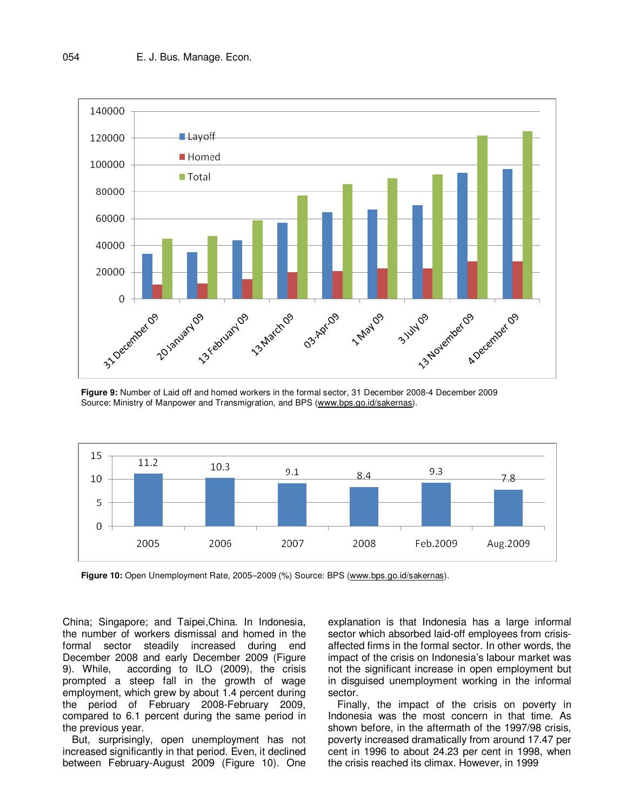

**Figure 9:** Number of Laid off and homed workers in the formal sector, 31 December 2008-4 December 2009 Source: Ministry of Manpower and Transmigration, and BPS (www.bps.go.id/sakernas).



**Figure 10:** Open Unemployment Rate, 2005–2009 (%) Source: BPS (www.bps.go.id/sakernas).

China; Singapore; and Taipei,China. In Indonesia, the number of workers dismissal and homed in the formal sector steadily increased during end December 2008 and early December 2009 (Figure 9). While, according to ILO (2009), the crisis prompted a steep fall in the growth of wage employment, which grew by about 1.4 percent during the period of February 2008-February 2009, compared to 6.1 percent during the same period in the previous year.

But, surprisingly, open unemployment has not increased significantly in that period. Even, it declined between February-August 2009 (Figure 10). One

explanation is that Indonesia has a large informal sector which absorbed laid-off employees from crisisaffected firms in the formal sector. In other words, the impact of the crisis on Indonesia's labour market was not the significant increase in open employment but in disguised unemployment working in the informal sector.

Finally, the impact of the crisis on poverty in Indonesia was the most concern in that time. As shown before, in the aftermath of the 1997/98 crisis, poverty increased dramatically from around 17.47 per cent in 1996 to about 24.23 per cent in 1998, when the crisis reached its climax. However, in 1999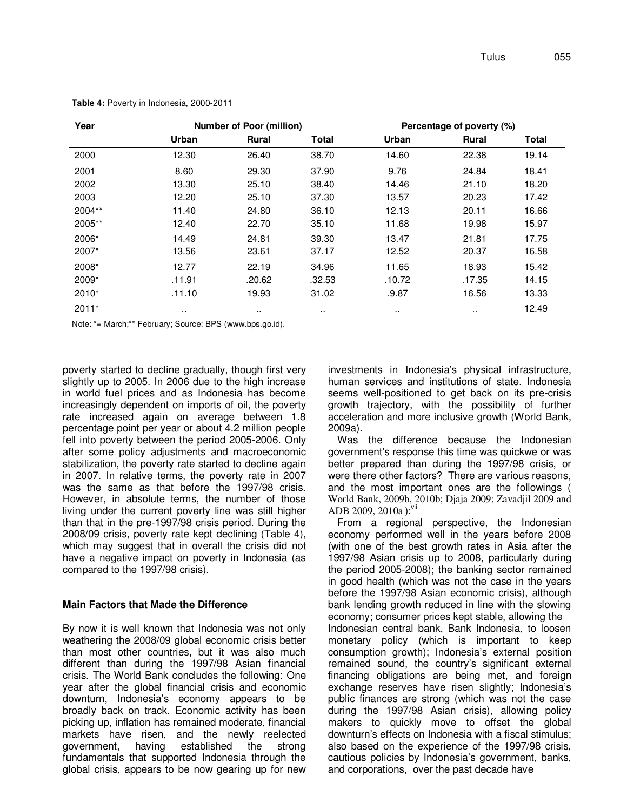| Year    |        | <b>Number of Poor (million)</b> |              | Percentage of poverty (%) |              |       |
|---------|--------|---------------------------------|--------------|---------------------------|--------------|-------|
|         | Urban  | <b>Rural</b>                    | <b>Total</b> | Urban                     | <b>Rural</b> | Total |
| 2000    | 12.30  | 26.40                           | 38.70        | 14.60                     | 22.38        | 19.14 |
| 2001    | 8.60   | 29.30                           | 37.90        | 9.76                      | 24.84        | 18.41 |
| 2002    | 13.30  | 25.10                           | 38.40        | 14.46                     | 21.10        | 18.20 |
| 2003    | 12.20  | 25.10                           | 37.30        | 13.57                     | 20.23        | 17.42 |
| 2004**  | 11.40  | 24.80                           | 36.10        | 12.13                     | 20.11        | 16.66 |
| 2005**  | 12.40  | 22.70                           | 35.10        | 11.68                     | 19.98        | 15.97 |
| 2006*   | 14.49  | 24.81                           | 39.30        | 13.47                     | 21.81        | 17.75 |
| 2007*   | 13.56  | 23.61                           | 37.17        | 12.52                     | 20.37        | 16.58 |
| 2008*   | 12.77  | 22.19                           | 34.96        | 11.65                     | 18.93        | 15.42 |
| 2009*   | .11.91 | .20.62                          | .32.53       | .10.72                    | .17.35       | 14.15 |
| $2010*$ | .11.10 | 19.93                           | 31.02        | .9.87                     | 16.56        | 13.33 |
| $2011*$ |        | $\cdots$                        | $\cdots$     |                           |              | 12.49 |

**Table 4:** Poverty in Indonesia, 2000-2011

Note: \*= March;\*\* February; Source: BPS (www.bps.go.id).

poverty started to decline gradually, though first very slightly up to 2005. In 2006 due to the high increase in world fuel prices and as Indonesia has become increasingly dependent on imports of oil, the poverty rate increased again on average between 1.8 percentage point per year or about 4.2 million people fell into poverty between the period 2005-2006. Only after some policy adjustments and macroeconomic stabilization, the poverty rate started to decline again in 2007. In relative terms, the poverty rate in 2007 was the same as that before the 1997/98 crisis. However, in absolute terms, the number of those living under the current poverty line was still higher than that in the pre-1997/98 crisis period. During the 2008/09 crisis, poverty rate kept declining (Table 4), which may suggest that in overall the crisis did not have a negative impact on poverty in Indonesia (as compared to the 1997/98 crisis).

## **Main Factors that Made the Difference**

By now it is well known that Indonesia was not only weathering the 2008/09 global economic crisis better than most other countries, but it was also much different than during the 1997/98 Asian financial crisis. The World Bank concludes the following: One year after the global financial crisis and economic downturn, Indonesia's economy appears to be broadly back on track. Economic activity has been picking up, inflation has remained moderate, financial markets have risen, and the newly reelected government, having established the strong fundamentals that supported Indonesia through the global crisis, appears to be now gearing up for new investments in Indonesia's physical infrastructure, human services and institutions of state. Indonesia seems well-positioned to get back on its pre-crisis growth trajectory, with the possibility of further acceleration and more inclusive growth (World Bank, 2009a).

Was the difference because the Indonesian government's response this time was quickwe or was better prepared than during the 1997/98 crisis, or were there other factors? There are various reasons, and the most important ones are the followings ( World Bank, 2009b, 2010b; Djaja 2009; Zavadjil 2009 and ADB 2009, 2010a ):<sup>vii</sup>

From a regional perspective, the Indonesian economy performed well in the years before 2008 (with one of the best growth rates in Asia after the 1997/98 Asian crisis up to 2008, particularly during the period 2005-2008); the banking sector remained in good health (which was not the case in the years before the 1997/98 Asian economic crisis), although bank lending growth reduced in line with the slowing economy; consumer prices kept stable, allowing the Indonesian central bank, Bank Indonesia, to loosen monetary policy (which is important to keep consumption growth); Indonesia's external position remained sound, the country's significant external financing obligations are being met, and foreign exchange reserves have risen slightly; Indonesia's public finances are strong (which was not the case during the 1997/98 Asian crisis), allowing policy makers to quickly move to offset the global downturn's effects on Indonesia with a fiscal stimulus; also based on the experience of the 1997/98 crisis, cautious policies by Indonesia's government, banks, and corporations, over the past decade have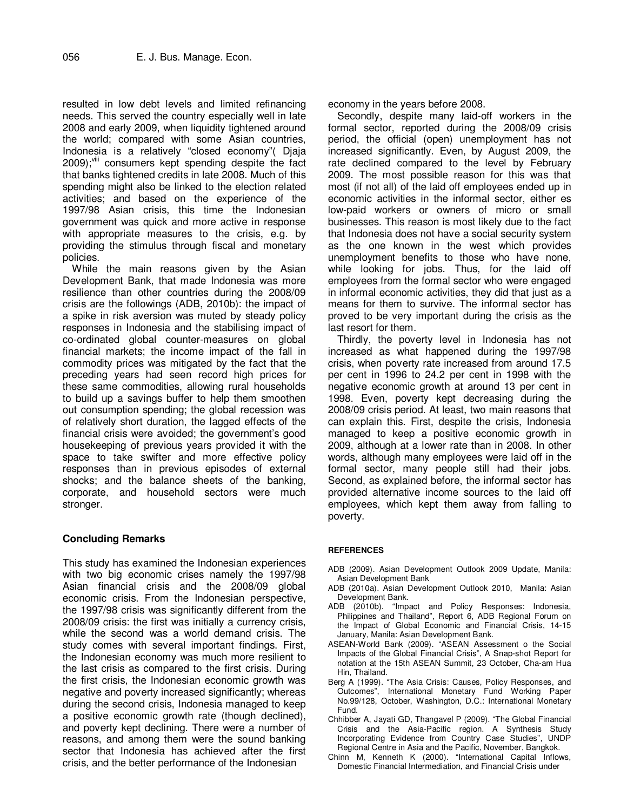resulted in low debt levels and limited refinancing needs. This served the country especially well in late 2008 and early 2009, when liquidity tightened around the world; compared with some Asian countries, Indonesia is a relatively "closed economy"( Djaja  $2009$ ;<sup>viii</sup> consumers kept spending despite the fact that banks tightened credits in late 2008. Much of this spending might also be linked to the election related activities; and based on the experience of the 1997/98 Asian crisis, this time the Indonesian government was quick and more active in response with appropriate measures to the crisis, e.g. by providing the stimulus through fiscal and monetary policies.

While the main reasons given by the Asian Development Bank, that made Indonesia was more resilience than other countries during the 2008/09 crisis are the followings (ADB, 2010b): the impact of a spike in risk aversion was muted by steady policy responses in Indonesia and the stabilising impact of co-ordinated global counter-measures on global financial markets; the income impact of the fall in commodity prices was mitigated by the fact that the preceding years had seen record high prices for these same commodities, allowing rural households to build up a savings buffer to help them smoothen out consumption spending; the global recession was of relatively short duration, the lagged effects of the financial crisis were avoided; the government's good housekeeping of previous years provided it with the space to take swifter and more effective policy responses than in previous episodes of external shocks; and the balance sheets of the banking, corporate, and household sectors were much stronger.

# **Concluding Remarks**

This study has examined the Indonesian experiences with two big economic crises namely the 1997/98 Asian financial crisis and the 2008/09 global economic crisis. From the Indonesian perspective, the 1997/98 crisis was significantly different from the 2008/09 crisis: the first was initially a currency crisis, while the second was a world demand crisis. The study comes with several important findings. First, the Indonesian economy was much more resilient to the last crisis as compared to the first crisis. During the first crisis, the Indonesian economic growth was negative and poverty increased significantly; whereas during the second crisis, Indonesia managed to keep a positive economic growth rate (though declined), and poverty kept declining. There were a number of reasons, and among them were the sound banking sector that Indonesia has achieved after the first crisis, and the better performance of the Indonesian

economy in the years before 2008.

Secondly, despite many laid-off workers in the formal sector, reported during the 2008/09 crisis period, the official (open) unemployment has not increased significantly. Even, by August 2009, the rate declined compared to the level by February 2009. The most possible reason for this was that most (if not all) of the laid off employees ended up in economic activities in the informal sector, either es low-paid workers or owners of micro or small businesses. This reason is most likely due to the fact that Indonesia does not have a social security system as the one known in the west which provides unemployment benefits to those who have none, while looking for jobs. Thus, for the laid off employees from the formal sector who were engaged in informal economic activities, they did that just as a means for them to survive. The informal sector has proved to be very important during the crisis as the last resort for them.

Thirdly, the poverty level in Indonesia has not increased as what happened during the 1997/98 crisis, when poverty rate increased from around 17.5 per cent in 1996 to 24.2 per cent in 1998 with the negative economic growth at around 13 per cent in 1998. Even, poverty kept decreasing during the 2008/09 crisis period. At least, two main reasons that can explain this. First, despite the crisis, Indonesia managed to keep a positive economic growth in 2009, although at a lower rate than in 2008. In other words, although many employees were laid off in the formal sector, many people still had their jobs. Second, as explained before, the informal sector has provided alternative income sources to the laid off employees, which kept them away from falling to poverty.

#### **REFERENCES**

- ADB (2009). Asian Development Outlook 2009 Update, Manila: Asian Development Bank
- ADB (2010a). Asian Development Outlook 2010, Manila: Asian Development Bank.
- ADB (2010b). "Impact and Policy Responses: Indonesia, Philippines and Thailand", Report 6, ADB Regional Forum on the Impact of Global Economic and Financial Crisis, 14-15 January, Manila: Asian Development Bank.
- ASEAN-World Bank (2009). "ASEAN Assessment o the Social Impacts of the Global Financial Crisis", A Snap-shot Report for notation at the 15th ASEAN Summit, 23 October, Cha-am Hua Hin, Thailand.
- Berg A (1999). "The Asia Crisis: Causes, Policy Responses, and Outcomes", International Monetary Fund Working Paper No.99/128, October, Washington, D.C.: International Monetary Fund.
- Chhibber A, Jayati GD, Thangavel P (2009). "The Global Financial Crisis and the Asia-Pacific region. A Synthesis Study Incorporating Evidence from Country Case Studies", UNDP Regional Centre in Asia and the Pacific, November, Bangkok.
- Chinn M, Kenneth K (2000). "International Capital Inflows, Domestic Financial Intermediation, and Financial Crisis under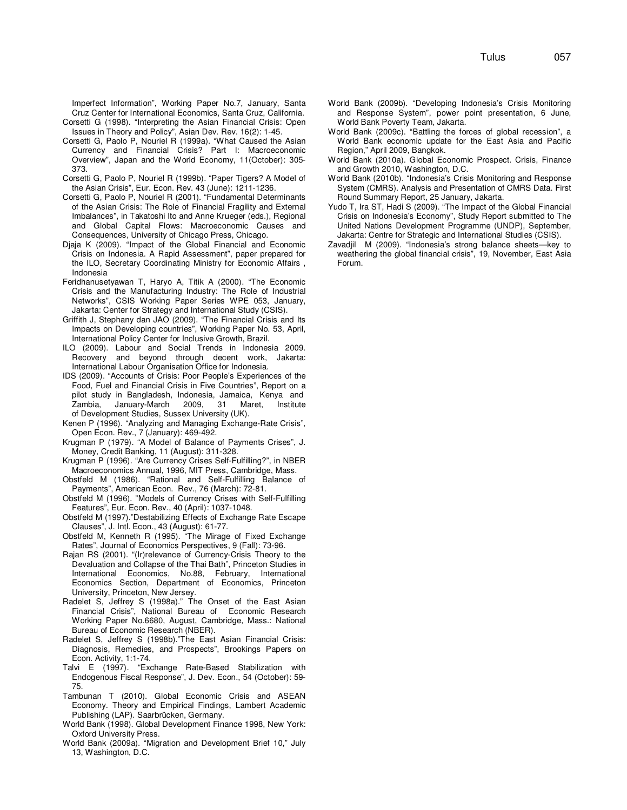Imperfect Information", Working Paper No.7, January, Santa Cruz Center for International Economics, Santa Cruz, California. Corsetti G (1998). "Interpreting the Asian Financial Crisis: Open

- Issues in Theory and Policy", Asian Dev. Rev. 16(2): 1-45. Corsetti G, Paolo P, Nouriel R (1999a). "What Caused the Asian
- Currency and Financial Crisis? Part I: Macroeconomic Overview", Japan and the World Economy, 11(October): 305- 373.
- Corsetti G, Paolo P, Nouriel R (1999b). "Paper Tigers? A Model of the Asian Crisis", Eur. Econ. Rev. 43 (June): 1211-1236.
- Corsetti G, Paolo P, Nouriel R (2001). "Fundamental Determinants of the Asian Crisis: The Role of Financial Fragility and External Imbalances", in Takatoshi Ito and Anne Krueger (eds.), Regional and Global Capital Flows: Macroeconomic Causes and Consequences, University of Chicago Press, Chicago.
- Djaja K (2009). "Impact of the Global Financial and Economic Crisis on Indonesia. A Rapid Assessment", paper prepared for the ILO, Secretary Coordinating Ministry for Economic Affairs , Indonesia
- Feridhanusetyawan T, Haryo A, Titik A (2000). "The Economic Crisis and the Manufacturing Industry: The Role of Industrial Networks", CSIS Working Paper Series WPE 053, January, Jakarta: Center for Strategy and International Study (CSIS).
- Griffith J, Stephany dan JAO (2009). "The Financial Crisis and Its Impacts on Developing countries", Working Paper No. 53, April, International Policy Center for Inclusive Growth, Brazil.
- ILO (2009). Labour and Social Trends in Indonesia 2009. Recovery and beyond through decent work, Jakarta: International Labour Organisation Office for Indonesia.
- IDS (2009). "Accounts of Crisis: Poor People's Experiences of the Food, Fuel and Financial Crisis in Five Countries", Report on a pilot study in Bangladesh, Indonesia, Jamaica, Kenya and Zambia, January-March 2009, 31 Maret, Institute of Development Studies, Sussex University (UK).
- Kenen P (1996). "Analyzing and Managing Exchange-Rate Crisis", Open Econ. Rev., 7 (January): 469-492.
- Krugman P (1979). "A Model of Balance of Payments Crises", J. Money, Credit Banking, 11 (August): 311-328.
- Krugman P (1996). "Are Currency Crises Self-Fulfilling?", in NBER Macroeconomics Annual, 1996, MIT Press, Cambridge, Mass.
- Obstfeld M (1986). "Rational and Self-Fulfilling Balance of Payments", American Econ. Rev., 76 (March): 72-81.
- Obstfeld M (1996). "Models of Currency Crises with Self-Fulfilling Features", Eur. Econ. Rev., 40 (April): 1037-1048.
- Obstfeld M (1997)."Destabilizing Effects of Exchange Rate Escape Clauses", J. Intl. Econ., 43 (August): 61-77.
- Obstfeld M, Kenneth R (1995). "The Mirage of Fixed Exchange Rates", Journal of Economics Perspectives, 9 (Fall): 73-96.
- Rajan RS (2001). "(Ir)relevance of Currency-Crisis Theory to the Devaluation and Collapse of the Thai Bath", Princeton Studies in International Economics, No.88, February, International Economics Section, Department of Economics, Princeton University, Princeton, New Jersey.
- Radelet S, Jeffrey S (1998a)." The Onset of the East Asian Financial Crisis", National Bureau of Economic Research Working Paper No.6680, August, Cambridge, Mass.: National Bureau of Economic Research (NBER).
- Radelet S, Jeffrey S (1998b)."The East Asian Financial Crisis: Diagnosis, Remedies, and Prospects", Brookings Papers on Econ. Activity, 1:1-74.
- Talvi E (1997). "Exchange Rate-Based Stabilization with Endogenous Fiscal Response", J. Dev. Econ., 54 (October): 59- 75.
- Tambunan T (2010). Global Economic Crisis and ASEAN Economy. Theory and Empirical Findings, Lambert Academic Publishing (LAP). Saarbrücken, Germany.
- World Bank (1998). Global Development Finance 1998, New York: Oxford University Press.
- World Bank (2009a). "Migration and Development Brief 10," July 13, Washington, D.C.
- World Bank (2009b). "Developing Indonesia's Crisis Monitoring and Response System", power point presentation, 6 June, World Bank Poverty Team, Jakarta.
- World Bank (2009c). "Battling the forces of global recession", a World Bank economic update for the East Asia and Pacific Region," April 2009, Bangkok.
- World Bank (2010a). Global Economic Prospect. Crisis, Finance and Growth 2010, Washington, D.C.
- World Bank (2010b). "Indonesia's Crisis Monitoring and Response System (CMRS). Analysis and Presentation of CMRS Data. First Round Summary Report, 25 January, Jakarta.
- Yudo T, Ira ST, Hadi S (2009). "The Impact of the Global Financial Crisis on Indonesia's Economy", Study Report submitted to The United Nations Development Programme (UNDP), September, Jakarta: Centre for Strategic and International Studies (CSIS).
- Zavadjil M (2009). "Indonesia's strong balance sheets—key to weathering the global financial crisis", 19, November, East Asia Forum.